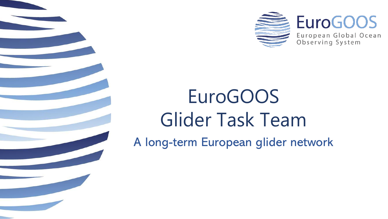



# EuroGOOS Glider Task Team A long-term European glider network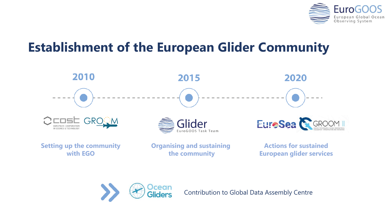

#### **Establishment of the European Glider Community**





Contribution to Global Data Assembly Centre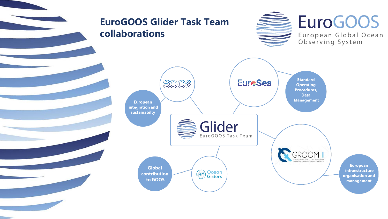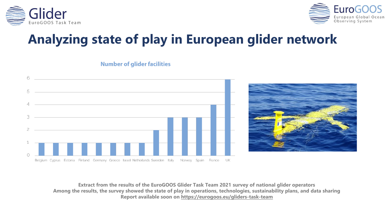



### **Analyzing state of play in European glider network**







**Extract from the results of the EuroGOOS Glider Task Team 2021 survey of national glider operators Among the results, the survey showed the state of play in operations, technologies, sustainability plans, and data sharing Report available soon on <https://eurogoos.eu/gliders-task-team>**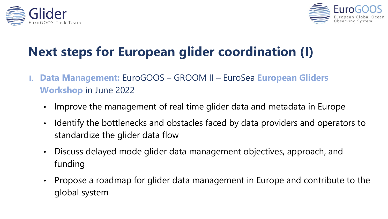



## **Next steps for European glider coordination (I)**

- **I. Data Management:** EuroGOOS GROOM II EuroSea **European Gliders Workshop** in June 2022
	- Improve the management of real time glider data and metadata in Europe
	- Identify the bottlenecks and obstacles faced by data providers and operators to standardize the glider data flow
	- Discuss delayed mode glider data management objectives, approach, and funding
	- Propose a roadmap for glider data management in Europe and contribute to the global system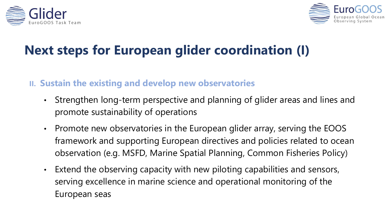



### **Next steps for European glider coordination (I)**

#### **II. Sustain the existing and develop new observatories**

- Strengthen long-term perspective and planning of glider areas and lines and promote sustainability of operations
- Promote new observatories in the European glider array, serving the EOOS framework and supporting European directives and policies related to ocean observation (e.g. MSFD, Marine Spatial Planning, Common Fisheries Policy)
- Extend the observing capacity with new piloting capabilities and sensors, serving excellence in marine science and operational monitoring of the European seas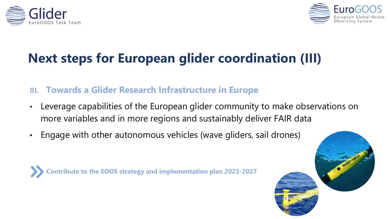



### **Next steps for European glider coordination (III)**

#### **III. Towards a Glider Research Infrastructure in Europe**

- Leverage capabilities of the European glider community to make observations on more variables and in more regions and sustainably deliver FAIR data
- Engage with other autonomous vehicles (wave gliders, sail drones)

**Contribute to the EOOS strategy and implementation plan 2023-2027**